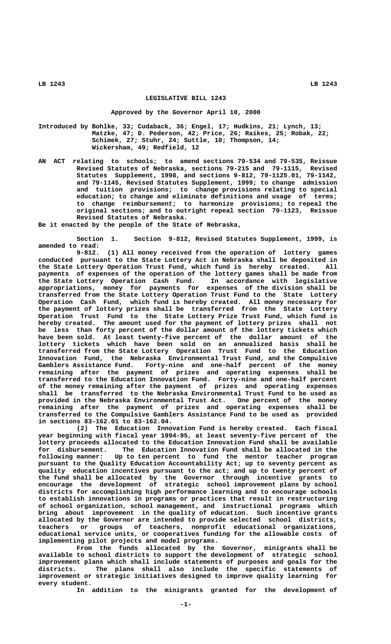## **LEGISLATIVE BILL 1243**

## **Approved by the Governor April 10, 2000**

**Introduced by Bohlke, 33; Cudaback, 36; Engel, 17; Hudkins, 21; Lynch, 13; Matzke, 47; D. Pederson, 42; Price, 26; Raikes, 25; Robak, 22; Schimek, 27; Stuhr, 24; Suttle, 10; Thompson, 14; Wickersham, 49; Redfield, 12**

**AN ACT relating to schools; to amend sections 79-534 and 79-535, Reissue Revised Statutes of Nebraska, sections 79-215 and 79-1115, Revised Statutes Supplement, 1998, and sections 9-812, 79-1125.01, 79-1142, and 79-1145, Revised Statutes Supplement, 1999; to change admission and tuition provisions; to change provisions relating to special education; to change and eliminate definitions and usage of terms; to change reimbursement; to harmonize provisions; to repeal the original sections; and to outright repeal section 79-1123, Reissue Revised Statutes of Nebraska.**

**Be it enacted by the people of the State of Nebraska,**

**Section 1. Section 9-812, Revised Statutes Supplement, 1999, is amended to read:**

**9-812. (1) All money received from the operation of lottery games conducted pursuant to the State Lottery Act in Nebraska shall be deposited in the State Lottery Operation Trust Fund, which fund is hereby created. All payments of expenses of the operation of the lottery games shall be made from the State Lottery Operation Cash Fund. In accordance with legislative appropriations, money for payments for expenses of the division shall be transferred from the State Lottery Operation Trust Fund to the State Lottery Operation Cash Fund, which fund is hereby created. All money necessary for the payment of lottery prizes shall be transferred from the State Lottery Operation Trust Fund to the State Lottery Prize Trust Fund, which fund is hereby created. The amount used for the payment of lottery prizes shall not be less than forty percent of the dollar amount of the lottery tickets which have been sold. At least twenty-five percent of the dollar amount of the lottery tickets which have been sold on an annualized basis shall be transferred from the State Lottery Operation Trust Fund to the Education Innovation Fund, the Nebraska Environmental Trust Fund, and the Compulsive Gamblers Assistance Fund. Forty-nine and one-half percent of the money remaining after the payment of prizes and operating expenses shall be transferred to the Education Innovation Fund. Forty-nine and one-half percent of the money remaining after the payment of prizes and operating expenses shall be transferred to the Nebraska Environmental Trust Fund to be used as provided in the Nebraska Environmental Trust Act. One percent of the money remaining after the payment of prizes and operating expenses shall be transferred to the Compulsive Gamblers Assistance Fund to be used as provided in sections 83-162.01 to 83-162.04.**

**(2) The Education Innovation Fund is hereby created. Each fiscal year beginning with fiscal year 1994-95, at least seventy-five percent of the lottery proceeds allocated to the Education Innovation Fund shall be available for disbursement. The Education Innovation Fund shall be allocated in the following manner: Up to ten percent to fund the mentor teacher program pursuant to the Quality Education Accountability Act; up to seventy percent as quality education incentives pursuant to the act; and up to twenty percent of the fund shall be allocated by the Governor through incentive grants to encourage the development of strategic school improvement plans by school districts for accomplishing high performance learning and to encourage schools to establish innovations in programs or practices that result in restructuring of school organization, school management, and instructional programs which bring about improvement in the quality of education. Such incentive grants allocated by the Governor are intended to provide selected school districts, teachers or groups of teachers, nonprofit educational organizations, educational service units, or cooperatives funding for the allowable costs of implementing pilot projects and model programs.**

**From the funds allocated by the Governor, minigrants shall be available to school districts to support the development of strategic school improvement plans which shall include statements of purposes and goals for the districts. The plans shall also include the specific statements of improvement or strategic initiatives designed to improve quality learning for every student.**

**In addition to the minigrants granted for the development of**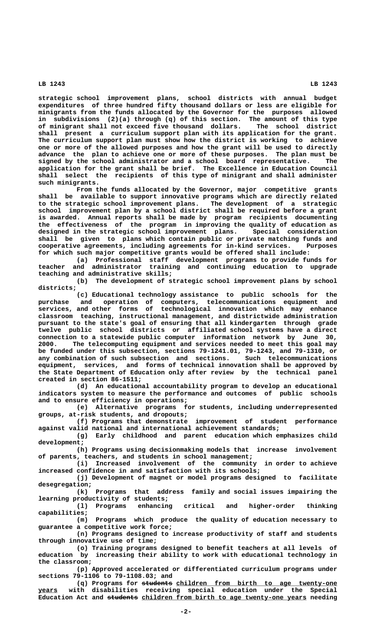**strategic school improvement plans, school districts with annual budget expenditures of three hundred fifty thousand dollars or less are eligible for minigrants from the funds allocated by the Governor for the purposes allowed in subdivisions (2)(a) through (q) of this section. The amount of this type of minigrant shall not exceed five thousand dollars. The school district shall present a curriculum support plan with its application for the grant. The curriculum support plan must show how the district is working to achieve one or more of the allowed purposes and how the grant will be used to directly advance the plan to achieve one or more of these purposes. The plan must be signed by the school administrator and a school board representative. The application for the grant shall be brief. The Excellence in Education Council shall select the recipients of this type of minigrant and shall administer such minigrants.**

**From the funds allocated by the Governor, major competitive grants shall be available to support innovative programs which are directly related to the strategic school improvement plans. The development of a strategic school improvement plan by a school district shall be required before a grant is awarded. Annual reports shall be made by program recipients documenting the effectiveness of the program in improving the quality of education as designed in the strategic school improvement plans. Special consideration shall be given to plans which contain public or private matching funds and cooperative agreements, including agreements for in-kind services. Purposes for which such major competitive grants would be offered shall include:**

**(a) Professional staff development programs to provide funds for teacher and administrator training and continuing education to upgrade teaching and administrative skills;**

**(b) The development of strategic school improvement plans by school districts;**

**(c) Educational technology assistance to public schools for the purchase and operation of computers, telecommunications equipment and services, and other forms of technological innovation which may enhance classroom teaching, instructional management, and districtwide administration pursuant to the state's goal of ensuring that all kindergarten through grade twelve public school districts or affiliated school systems have a direct connection to a statewide public computer information network by June 30, 2000. The telecomputing equipment and services needed to meet this goal may be funded under this subsection, sections 79-1241.01, 79-1243, and 79-1310, or any combination of such subsection and sections. Such telecommunications equipment, services, and forms of technical innovation shall be approved by the State Department of Education only after review by the technical panel created in section 86-1511;**

**(d) An educational accountability program to develop an educational indicators system to measure the performance and outcomes of public schools and to ensure efficiency in operations;**

**(e) Alternative programs for students, including underrepresented groups, at-risk students, and dropouts;**

**(f) Programs that demonstrate improvement of student performance against valid national and international achievement standards;**

**(g) Early childhood and parent education which emphasizes child development;**

**(h) Programs using decisionmaking models that increase involvement of parents, teachers, and students in school management;**

**(i) Increased involvement of the community in order to achieve increased confidence in and satisfaction with its schools;**

**(j) Development of magnet or model programs designed to facilitate desegregation;**

**(k) Programs that address family and social issues impairing the learning productivity of students;**

**(l) Programs enhancing critical and higher-order thinking capabilities;**

**(m) Programs which produce the quality of education necessary to guarantee a competitive work force;**

**(n) Programs designed to increase productivity of staff and students through innovative use of time;**

**(o) Training programs designed to benefit teachers at all levels of education by increasing their ability to work with educational technology in the classroom;**

**(p) Approved accelerated or differentiated curriculum programs under sections 79-1106 to 79-1108.03; and**

(q) Programs for students children from birth to age twenty-one  **\_\_\_\_\_ years with disabilities receiving special education under the Special** Education Act and students children from birth to age twenty-one years needing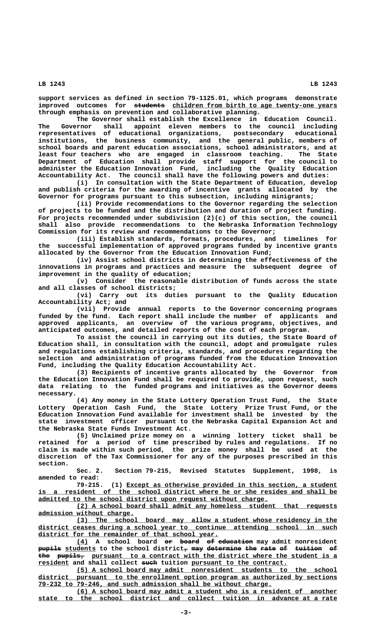**support services as defined in section 79-1125.01, which programs demonstrate** improved outcomes for students children from birth to age twenty-one years **through emphasis on prevention and collaborative planning.**

**The Governor shall establish the Excellence in Education Council. The Governor shall appoint eleven members to the council including representatives of educational organizations, postsecondary educational institutions, the business community, and the general public, members of school boards and parent education associations, school administrators, and at least four teachers who are engaged in classroom teaching. The State Department of Education shall provide staff support for the council to administer the Education Innovation Fund, including the Quality Education Accountability Act. The council shall have the following powers and duties:**

**(i) In consultation with the State Department of Education, develop and publish criteria for the awarding of incentive grants allocated by the Governor for programs pursuant to this subsection, including minigrants;**

**(ii) Provide recommendations to the Governor regarding the selection of projects to be funded and the distribution and duration of project funding. For projects recommended under subdivision (2)(c) of this section, the council shall also provide recommendations to the Nebraska Information Technology Commission for its review and recommendations to the Governor;**

**(iii) Establish standards, formats, procedures, and timelines for the successful implementation of approved programs funded by incentive grants allocated by the Governor from the Education Innovation Fund;**

**(iv) Assist school districts in determining the effectiveness of the innovations in programs and practices and measure the subsequent degree of improvement in the quality of education;**

**(v) Consider the reasonable distribution of funds across the state and all classes of school districts;**

**(vi) Carry out its duties pursuant to the Quality Education Accountability Act; and**

**(vii) Provide annual reports to the Governor concerning programs funded by the fund. Each report shall include the number of applicants and approved applicants, an overview of the various programs, objectives, and anticipated outcomes, and detailed reports of the cost of each program.**

**To assist the council in carrying out its duties, the State Board of Education shall, in consultation with the council, adopt and promulgate rules and regulations establishing criteria, standards, and procedures regarding the selection and administration of programs funded from the Education Innovation Fund, including the Quality Education Accountability Act.**

**(3) Recipients of incentive grants allocated by the Governor from the Education Innovation Fund shall be required to provide, upon request, such data relating to the funded programs and initiatives as the Governor deems necessary.**

**(4) Any money in the State Lottery Operation Trust Fund, the State Lottery Operation Cash Fund, the State Lottery Prize Trust Fund, or the Education Innovation Fund available for investment shall be invested by the state investment officer pursuant to the Nebraska Capital Expansion Act and the Nebraska State Funds Investment Act.**

**(5) Unclaimed prize money on a winning lottery ticket shall be retained for a period of time prescribed by rules and regulations. If no claim is made within such period, the prize money shall be used at the discretion of the Tax Commissioner for any of the purposes prescribed in this section.**

**Sec. 2. Section 79-215, Revised Statutes Supplement, 1998, is amended to read:**

 **\_\_\_\_\_\_\_\_\_\_\_\_\_\_\_\_\_\_\_\_\_\_\_\_\_\_\_\_\_\_\_\_\_\_\_\_\_\_\_\_\_\_\_\_\_\_\_\_\_\_\_\_\_\_\_ 79-215. (1) Except as otherwise provided in this section, a student** is a resident of the school district where he or she resides and shall be  **\_\_\_\_\_\_\_\_\_\_\_\_\_\_\_\_\_\_\_\_\_\_\_\_\_\_\_\_\_\_\_\_\_\_\_\_\_\_\_\_\_\_\_\_\_\_\_\_\_\_\_\_\_\_\_\_\_\_\_\_ admitted to the school district upon request without charge.**

 **\_\_\_\_\_\_\_\_\_\_\_\_\_\_\_\_\_\_\_\_\_\_\_\_\_\_\_\_\_\_\_\_\_\_\_\_\_\_\_\_\_\_\_\_\_\_\_\_\_\_\_\_\_\_\_\_\_\_\_\_\_\_\_\_\_\_\_\_ (2) A school board shall admit any homeless student that requests \_\_\_\_\_\_\_\_\_\_\_\_\_\_\_\_\_\_\_\_\_\_\_\_\_ admission without charge.**

 **\_\_\_\_\_\_\_\_\_\_\_\_\_\_\_\_\_\_\_\_\_\_\_\_\_\_\_\_\_\_\_\_\_\_\_\_\_\_\_\_\_\_\_\_\_\_\_\_\_\_\_\_\_\_\_\_\_\_\_\_\_\_\_\_\_\_\_\_ (3) The school board may allow a student whose residency in the \_\_\_\_\_\_\_\_\_\_\_\_\_\_\_\_\_\_\_\_\_\_\_\_\_\_\_\_\_\_\_\_\_\_\_\_\_\_\_\_\_\_\_\_\_\_\_\_\_\_\_\_\_\_\_\_\_\_\_\_\_\_\_\_\_\_\_\_\_\_\_\_\_\_\_\_\_\_ district ceases during a school year to continue attending school in such \_\_\_\_\_\_\_\_\_\_\_\_\_\_\_\_\_\_\_\_\_\_\_\_\_\_\_\_\_\_\_\_\_\_\_\_\_\_\_\_\_\_\_\_\_\_\_ district for the remainder of that school year.**

 **\_\_\_ —— ————— —— ————————— (4) A school board or board of education may admit nonresident pupils students** to the school district<sub>7</sub> may determine the rate of tuition of the pupils, pursuant to a contract with the district where the student is a  **\_\_\_\_\_\_\_\_ ———— \_\_\_\_\_\_\_\_\_\_\_\_\_\_\_\_\_\_\_\_\_\_\_\_\_ resident and shall collect such tuition pursuant to the contract.**

 **\_\_\_\_\_\_\_\_\_\_\_\_\_\_\_\_\_\_\_\_\_\_\_\_\_\_\_\_\_\_\_\_\_\_\_\_\_\_\_\_\_\_\_\_\_\_\_\_\_\_\_\_\_\_\_\_\_\_\_\_\_\_\_\_\_\_\_\_ (5) A school board may admit nonresident students to the school \_\_\_\_\_\_\_\_\_\_\_\_\_\_\_\_\_\_\_\_\_\_\_\_\_\_\_\_\_\_\_\_\_\_\_\_\_\_\_\_\_\_\_\_\_\_\_\_\_\_\_\_\_\_\_\_\_\_\_\_\_\_\_\_\_\_\_\_\_\_\_\_\_\_\_\_\_\_ district pursuant to the enrollment option program as authorized by sections \_\_\_\_\_\_\_\_\_\_\_\_\_\_\_\_\_\_\_\_\_\_\_\_\_\_\_\_\_\_\_\_\_\_\_\_\_\_\_\_\_\_\_\_\_\_\_\_\_\_\_\_\_\_\_\_\_\_\_\_\_ 79-232 to 79-246, and such admission shall be without charge.**

 **\_\_\_\_\_\_\_\_\_\_\_\_\_\_\_\_\_\_\_\_\_\_\_\_\_\_\_\_\_\_\_\_\_\_\_\_\_\_\_\_\_\_\_\_\_\_\_\_\_\_\_\_\_\_\_\_\_\_\_\_\_\_\_\_\_\_\_\_ (6) A school board may admit a student who is a resident of another \_\_\_\_\_\_\_\_\_\_\_\_\_\_\_\_\_\_\_\_\_\_\_\_\_\_\_\_\_\_\_\_\_\_\_\_\_\_\_\_\_\_\_\_\_\_\_\_\_\_\_\_\_\_\_\_\_\_\_\_\_\_\_\_\_\_\_\_\_\_\_\_\_\_\_\_\_\_ state to the school district and collect tuition in advance at a rate**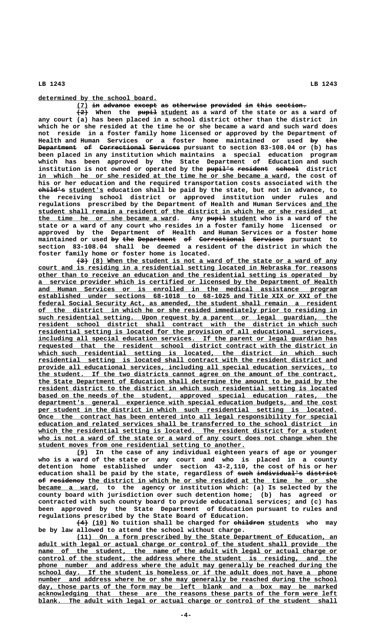**\_\_\_\_\_\_\_\_\_\_\_\_\_\_\_\_\_\_\_\_\_\_\_\_\_\_\_\_\_\_\_ determined by the school board.**

**(7) in advance except as otherwise provided in this section. \_\_\_ —— ——————— —————— —— ————————— ———————— —— ———— ————————**

 $\overline{+2+}$  When the pupil student as a ward of the state or as a ward of **any court (a) has been placed in a school district other than the district in which he or she resided at the time he or she became a ward and such ward does not reside in a foster family home licensed or approved by the Department of Health and Human Services or a foster home maintained or used by the —— ——— Department of Correctional Services** pursuant to section 83-108.04 or (b) has **been placed in any institution which maintains a special education program which has been approved by the State Department of Education and such** institution is not owned or operated by the pupil's resident school district in which he or she resided at the time he or she became a ward, the cost of **his or her education and the required transportation costs associated with the ——————— \_\_\_\_\_\_\_\_\_ child's student's education shall be paid by the state, but not in advance, to the receiving school district or approved institution under rules and regulations prescribed by the Department of Health and Human Services and the \_\_\_\_\_\_\_ \_\_\_\_\_\_\_\_\_\_\_\_\_\_\_\_\_\_\_\_\_\_\_\_\_\_\_\_\_\_\_\_\_\_\_\_\_\_\_\_\_\_\_\_\_\_\_\_\_\_\_\_\_\_\_\_\_\_\_\_\_\_\_\_\_\_\_\_\_\_\_\_\_\_\_\_\_\_ student shall remain a resident of the district in which he or she resided at \_\_\_\_\_\_\_\_\_\_\_\_\_\_\_\_\_\_\_\_\_\_\_\_\_\_\_\_\_\_\_\_\_\_\_\_ ————— \_\_\_\_\_\_\_ the time he or she became a ward. Any pupil student who is a ward of the state or a ward of any court who resides in a foster family home licensed or approved by the Department of Health and Human Services or a foster home**  $\texttt{maintained or used}$  by the Department of Correctional Services pursuant to **section 83-108.04 shall be deemed a resident of the district in which the foster family home or foster home is located.**

 $\overline{+3}$  (8) When the student is not a ward of the state or a ward of any  **\_\_\_\_\_\_\_\_\_\_\_\_\_\_\_\_\_\_\_\_\_\_\_\_\_\_\_\_\_\_\_\_\_\_\_\_\_\_\_\_\_\_\_\_\_\_\_\_\_\_\_\_\_\_\_\_\_\_\_\_\_\_\_\_\_\_\_\_\_\_\_\_\_\_\_\_\_\_ court and is residing in a residential setting located in Nebraska for reasons \_\_\_\_\_\_\_\_\_\_\_\_\_\_\_\_\_\_\_\_\_\_\_\_\_\_\_\_\_\_\_\_\_\_\_\_\_\_\_\_\_\_\_\_\_\_\_\_\_\_\_\_\_\_\_\_\_\_\_\_\_\_\_\_\_\_\_\_\_\_\_\_\_\_\_\_\_\_ other than to receive an education and the residential setting is operated by \_\_\_\_\_\_\_\_\_\_\_\_\_\_\_\_\_\_\_\_\_\_\_\_\_\_\_\_\_\_\_\_\_\_\_\_\_\_\_\_\_\_\_\_\_\_\_\_\_\_\_\_\_\_\_\_\_\_\_\_\_\_\_\_\_\_\_\_\_\_\_\_\_\_\_\_\_\_ a service provider which is certified or licensed by the Department of Health \_\_\_\_\_\_\_\_\_\_\_\_\_\_\_\_\_\_\_\_\_\_\_\_\_\_\_\_\_\_\_\_\_\_\_\_\_\_\_\_\_\_\_\_\_\_\_\_\_\_\_\_\_\_\_\_\_\_\_\_\_\_\_\_\_\_\_\_\_\_\_\_\_\_\_\_\_\_ and Human Services or is enrolled in the medical assistance program \_\_\_\_\_\_\_\_\_\_\_\_\_\_\_\_\_\_\_\_\_\_\_\_\_\_\_\_\_\_\_\_\_\_\_\_\_\_\_\_\_\_\_\_\_\_\_\_\_\_\_\_\_\_\_\_\_\_\_\_\_\_\_\_\_\_\_\_\_\_\_\_\_\_\_\_\_\_ established under sections 68-1018 to 68-1025 and Title XIX or XXI of the \_\_\_\_\_\_\_\_\_\_\_\_\_\_\_\_\_\_\_\_\_\_\_\_\_\_\_\_\_\_\_\_\_\_\_\_\_\_\_\_\_\_\_\_\_\_\_\_\_\_\_\_\_\_\_\_\_\_\_\_\_\_\_\_\_\_\_\_\_\_\_\_\_\_\_\_\_\_ federal Social Security Act, as amended, the student shall remain a resident \_\_\_\_\_\_\_\_\_\_\_\_\_\_\_\_\_\_\_\_\_\_\_\_\_\_\_\_\_\_\_\_\_\_\_\_\_\_\_\_\_\_\_\_\_\_\_\_\_\_\_\_\_\_\_\_\_\_\_\_\_\_\_\_\_\_\_\_\_\_\_\_\_\_\_\_\_\_ of the district in which he or she resided immediately prior to residing in \_\_\_\_\_\_\_\_\_\_\_\_\_\_\_\_\_\_\_\_\_\_\_\_\_\_\_\_\_\_\_\_\_\_\_\_\_\_\_\_\_\_\_\_\_\_\_\_\_\_\_\_\_\_\_\_\_\_\_\_\_\_\_\_\_\_\_\_\_\_\_\_\_\_\_\_\_\_ such residential setting. Upon request by a parent or legal guardian, the**  $resident$  school district shall contract with the district in which such</u>  **\_\_\_\_\_\_\_\_\_\_\_\_\_\_\_\_\_\_\_\_\_\_\_\_\_\_\_\_\_\_\_\_\_\_\_\_\_\_\_\_\_\_\_\_\_\_\_\_\_\_\_\_\_\_\_\_\_\_\_\_\_\_\_\_\_\_\_\_\_\_\_\_\_\_\_\_\_\_ residential setting is located for the provision of all educational services,** including all special education services. If the parent or legal guardian has  $requested$  that the resident school district contract with the district in  **\_\_\_\_\_\_\_\_\_\_\_\_\_\_\_\_\_\_\_\_\_\_\_\_\_\_\_\_\_\_\_\_\_\_\_\_\_\_\_\_\_\_\_\_\_\_\_\_\_\_\_\_\_\_\_\_\_\_\_\_\_\_\_\_\_\_\_\_\_\_\_\_\_\_\_\_\_\_ which such residential setting is located, the district in which such \_\_\_\_\_\_\_\_\_\_\_\_\_\_\_\_\_\_\_\_\_\_\_\_\_\_\_\_\_\_\_\_\_\_\_\_\_\_\_\_\_\_\_\_\_\_\_\_\_\_\_\_\_\_\_\_\_\_\_\_\_\_\_\_\_\_\_\_\_\_\_\_\_\_\_\_\_\_ residential setting is located shall contract with the resident district and \_\_\_\_\_\_\_\_\_\_\_\_\_\_\_\_\_\_\_\_\_\_\_\_\_\_\_\_\_\_\_\_\_\_\_\_\_\_\_\_\_\_\_\_\_\_\_\_\_\_\_\_\_\_\_\_\_\_\_\_\_\_\_\_\_\_\_\_\_\_\_\_\_\_\_\_\_\_ provide all educational services, including all special education services, to \_\_\_\_\_\_\_\_\_\_\_\_\_\_\_\_\_\_\_\_\_\_\_\_\_\_\_\_\_\_\_\_\_\_\_\_\_\_\_\_\_\_\_\_\_\_\_\_\_\_\_\_\_\_\_\_\_\_\_\_\_\_\_\_\_\_\_\_\_\_\_\_\_\_\_\_\_\_ the student. If the two districts cannot agree on the amount of the contract, \_\_\_\_\_\_\_\_\_\_\_\_\_\_\_\_\_\_\_\_\_\_\_\_\_\_\_\_\_\_\_\_\_\_\_\_\_\_\_\_\_\_\_\_\_\_\_\_\_\_\_\_\_\_\_\_\_\_\_\_\_\_\_\_\_\_\_\_\_\_\_\_\_\_\_\_\_\_ the State Department of Education shall determine the amount to be paid by the \_\_\_\_\_\_\_\_\_\_\_\_\_\_\_\_\_\_\_\_\_\_\_\_\_\_\_\_\_\_\_\_\_\_\_\_\_\_\_\_\_\_\_\_\_\_\_\_\_\_\_\_\_\_\_\_\_\_\_\_\_\_\_\_\_\_\_\_\_\_\_\_\_\_\_\_\_\_ resident district to the district in which such residential setting is located** based on the needs of the student, approved special education rates, the  **\_\_\_\_\_\_\_\_\_\_\_\_\_\_\_\_\_\_\_\_\_\_\_\_\_\_\_\_\_\_\_\_\_\_\_\_\_\_\_\_\_\_\_\_\_\_\_\_\_\_\_\_\_\_\_\_\_\_\_\_\_\_\_\_\_\_\_\_\_\_\_\_\_\_\_\_\_\_ department's general experience with special education budgets, and the cost** per student in the district in which such residential setting is located.  **\_\_\_\_\_\_\_\_\_\_\_\_\_\_\_\_\_\_\_\_\_\_\_\_\_\_\_\_\_\_\_\_\_\_\_\_\_\_\_\_\_\_\_\_\_\_\_\_\_\_\_\_\_\_\_\_\_\_\_\_\_\_\_\_\_\_\_\_\_\_\_\_\_\_\_\_\_\_ Once the contract has been entered into all legal responsibility for special \_\_\_\_\_\_\_\_\_\_\_\_\_\_\_\_\_\_\_\_\_\_\_\_\_\_\_\_\_\_\_\_\_\_\_\_\_\_\_\_\_\_\_\_\_\_\_\_\_\_\_\_\_\_\_\_\_\_\_\_\_\_\_\_\_\_\_\_\_\_\_\_\_\_\_\_\_\_ education and related services shall be transferred to the school district in** which the residential setting is located. The resident district for a student who is not a ward of the state or a ward of any court does not change when the  **\_\_\_\_\_\_\_\_\_\_\_\_\_\_\_\_\_\_\_\_\_\_\_\_\_\_\_\_\_\_\_\_\_\_\_\_\_\_\_\_\_\_\_\_\_\_\_\_\_\_\_\_\_\_ student moves from one residential setting to another.**

 **\_\_\_ (9) In the case of any individual eighteen years of age or younger who is a ward of the state or any court and who is placed in a county detention home established under section 43-2,110, the cost of his or her** education shall be paid by the state, regardless of such individual's district of residency the district in which he or she resided at the time he or she  **\_\_\_\_\_\_\_\_\_\_\_\_\_\_\_ became a ward, to the agency or institution which: (a) Is selected by the county board with jurisdiction over such detention home; (b) has agreed or contracted with such county board to provide educational services; and (c) has been approved by the State Department of Education pursuant to rules and regulations prescribed by the State Board of Education.**

 $(4)$  (10) No tuition shall be charged for children students who may **be by law allowed to attend the school without charge.**

 **\_\_\_\_\_\_\_\_\_\_\_\_\_\_\_\_\_\_\_\_\_\_\_\_\_\_\_\_\_\_\_\_\_\_\_\_\_\_\_\_\_\_\_\_\_\_\_\_\_\_\_\_\_\_\_\_\_\_\_\_\_\_\_\_\_\_\_\_ (11) On a form prescribed by the State Department of Education, an \_\_\_\_\_\_\_\_\_\_\_\_\_\_\_\_\_\_\_\_\_\_\_\_\_\_\_\_\_\_\_\_\_\_\_\_\_\_\_\_\_\_\_\_\_\_\_\_\_\_\_\_\_\_\_\_\_\_\_\_\_\_\_\_\_\_\_\_\_\_\_\_\_\_\_\_\_\_ adult with legal or actual charge or control of the student shall provide the** name of the student, the name of the adult with legal or actual charge or  **\_\_\_\_\_\_\_\_\_\_\_\_\_\_\_\_\_\_\_\_\_\_\_\_\_\_\_\_\_\_\_\_\_\_\_\_\_\_\_\_\_\_\_\_\_\_\_\_\_\_\_\_\_\_\_\_\_\_\_\_\_\_\_\_\_\_\_\_\_\_\_\_\_\_\_\_\_\_ control of the student, the address where the student is residing, and the \_\_\_\_\_\_\_\_\_\_\_\_\_\_\_\_\_\_\_\_\_\_\_\_\_\_\_\_\_\_\_\_\_\_\_\_\_\_\_\_\_\_\_\_\_\_\_\_\_\_\_\_\_\_\_\_\_\_\_\_\_\_\_\_\_\_\_\_\_\_\_\_\_\_\_\_\_\_ phone number and address where the adult may generally be reached during the \_\_\_\_\_\_\_\_\_\_\_\_\_\_\_\_\_\_\_\_\_\_\_\_\_\_\_\_\_\_\_\_\_\_\_\_\_\_\_\_\_\_\_\_\_\_\_\_\_\_\_\_\_\_\_\_\_\_\_\_\_\_\_\_\_\_\_\_\_\_\_\_\_\_\_\_\_\_ school day. If the student is homeless or if the adult does not have a phone** number and address where he or she may generally be reached during the school  **\_\_\_\_\_\_\_\_\_\_\_\_\_\_\_\_\_\_\_\_\_\_\_\_\_\_\_\_\_\_\_\_\_\_\_\_\_\_\_\_\_\_\_\_\_\_\_\_\_\_\_\_\_\_\_\_\_\_\_\_\_\_\_\_\_\_\_\_\_\_\_\_\_\_\_\_\_\_ day, those parts of the form may be left blank and a box may be marked \_\_\_\_\_\_\_\_\_\_\_\_\_\_\_\_\_\_\_\_\_\_\_\_\_\_\_\_\_\_\_\_\_\_\_\_\_\_\_\_\_\_\_\_\_\_\_\_\_\_\_\_\_\_\_\_\_\_\_\_\_\_\_\_\_\_\_\_\_\_\_\_\_\_\_\_\_\_ acknowledging that these are the reasons these parts of the form were left** blank. The adult with legal or actual charge or control of the student shall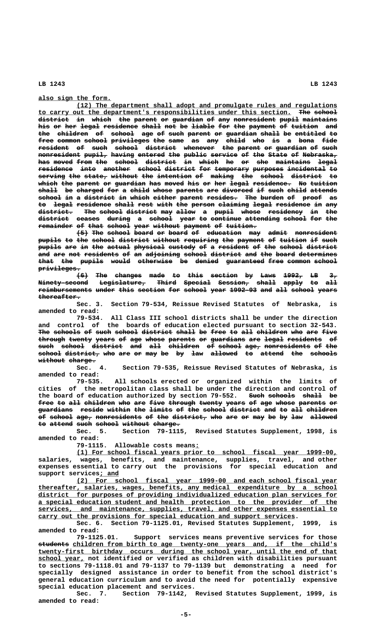**\_\_\_\_\_\_\_\_\_\_\_\_\_\_\_\_\_\_\_ also sign the form.**

 **\_\_\_\_\_\_\_\_\_\_\_\_\_\_\_\_\_\_\_\_\_\_\_\_\_\_\_\_\_\_\_\_\_\_\_\_\_\_\_\_\_\_\_\_\_\_\_\_\_\_\_\_\_\_\_\_\_\_\_\_\_\_\_\_\_\_\_\_ (12) The department shall adopt and promulgate rules and regulations \_\_\_\_\_\_\_\_\_\_\_\_\_\_\_\_\_\_\_\_\_\_\_\_\_\_\_\_\_\_\_\_\_\_\_\_\_\_\_\_\_\_\_\_\_\_\_\_\_\_\_\_\_\_\_\_\_\_\_\_\_\_\_\_\_\_ ——— —————— to carry out the department's responsibilities under this section. The school district in which the parent or guardian of any nonresident pupil maintains ———————— —— ————— ——— —————— —— ———————— —— ——— ——————————— ————— ————————** his or her legal residence shall not be liable for the payment of tuition and the children of school age of such parent or guardian shall be entitled to **free common school privileges the same as any child who is a bona fide ———— —————— —————— —————————— ——— ———— —— ——— ————— ——— —— — ———— ——— resident of such school district whenever the parent or guardian of such ———————— —— ———— —————— ———————— ———————— ——— —————— —— ———————— —— ————**  $\frac{1}{n}$  **nonresident pupil, having entered the public service of the State of Nebraska,** has moved from the school district in which he or she maintains legal  $residence$  into another school district for temporary purposes incidental to</u> **serving the state, without the intention of making the school district to ——————— ——— —————— ——————— ——— ————————— —— —————— ——— —————— ———————— —** which the parent or guardian has moved his or her legal residence. No tuition  $\frac{\text{shall}}{\text{shall}}$  be charged for a child whose parents are divorced if such child attends school in a district in which either parent resides. The burden of proof as to legal residence shall rest with the person claiming legal residence in any<br><del>district. The school district</del> may allow a pupil whose residency in the The school district may allow a pupil whose residency in the district ceases during a school year to continue attending school for the **remainder of that school year without payment of tuition. ————————— —— ———— —————— ———— ——————— ——————— —— ————————**

**(5) The school board or board of education may admit nonresident ——— ——— —————— ————— —— ————— —— ————————— ——— ————— ——————————** pupils to the school district without requiring the payment of tuition if such pupils are in the actual physical custody of a resident of the school district and are not residents of an adjoining school district and the board determines **that the pupils would otherwise be denied guaranteed free common school ———— ——— —————— ————— ————————— —— —————— —————————— ———— —————— ————— privileges. ———————————**

**(6) The changes made to this section by Laws 1992, LB 3, ——— ——— ——————— ———— —— ———— ——————— —— ———— ————— —— ——**  $\tt{Ninety-second}$   $\tt{Legislature}$   $\tt{Fnie}$   $\tt{Bpecial}$   $\tt{Gegsion}$   $\tt{ehall}$   $\tt{apply}$   $\tt{eo}$   $\tt{all}$ reimbursements under this section for school year 1992-93 and all school years  **thereafter. ———————————**

**Sec. 3. Section 79-534, Reissue Revised Statutes of Nebraska, is amended to read:**

**79-534. All Class III school districts shall be under the direction and control of the boards of education elected pursuant to section 32-543.** The schools of such school district shall be free to all children who are five through twenty years of age whose parents or guardians are legal residents of such school district and all children of school age, nonresidents of the **school district, who are or may be by law allowed to attend the schools —————— ————————— ——— ——— —— ——— —— —— ——— ——————— —— —————— ——— —————— without charge.**<br>Sec. 4.

Section 79-535, Reissue Revised Statutes of Nebraska, is **amended to read:**

**79-535. All schools erected or organized within the limits of cities of the metropolitan class shall be under the direction and control of** the board of education authorized by section 79-552. Such schools shall be free to all children who are five through twenty years of age whose parents or **guardians reside within the limits of the school district and to all children ————————— —————— —————— ——— —————— —— ——— —————— ———————— ——— —— ——— ———————** of school age, nonresidents of the district, who are or may be by law allowed to attend such school without charge.

**Sec. 5. Section 79-1115, Revised Statutes Supplement, 1998, is amended to read:**

 **\_ 79-1115. Allowable costs means:**

 **\_\_\_\_\_\_\_\_\_\_\_\_\_\_\_\_\_\_\_\_\_\_\_\_\_\_\_\_\_\_\_\_\_\_\_\_\_\_\_\_\_\_\_\_\_\_\_\_\_\_\_\_\_\_\_\_\_\_\_\_\_\_\_\_\_\_\_\_ (1) For school fiscal years prior to school fiscal year 1999-00, salaries, wages, benefits, and maintenance, supplies, travel, and other expenses essential to carry out the provisions for special education and \_\_\_\_\_ support services; and**

 **\_\_\_\_\_\_\_\_\_\_\_\_\_\_\_\_\_\_\_\_\_\_\_\_\_\_\_\_\_\_\_\_\_\_\_\_\_\_\_\_\_\_\_\_\_\_\_\_\_\_\_\_\_\_\_\_\_\_\_\_\_\_\_\_\_\_\_\_ (2) For school fiscal year 1999-00 and each school fiscal year \_\_\_\_\_\_\_\_\_\_\_\_\_\_\_\_\_\_\_\_\_\_\_\_\_\_\_\_\_\_\_\_\_\_\_\_\_\_\_\_\_\_\_\_\_\_\_\_\_\_\_\_\_\_\_\_\_\_\_\_\_\_\_\_\_\_\_\_\_\_\_\_\_\_\_\_\_\_ thereafter, salaries, wages, benefits, any medical expenditure by a school \_\_\_\_\_\_\_\_\_\_\_\_\_\_\_\_\_\_\_\_\_\_\_\_\_\_\_\_\_\_\_\_\_\_\_\_\_\_\_\_\_\_\_\_\_\_\_\_\_\_\_\_\_\_\_\_\_\_\_\_\_\_\_\_\_\_\_\_\_\_\_\_\_\_\_\_\_\_ district for purposes of providing individualized education plan services for \_\_\_\_\_\_\_\_\_\_\_\_\_\_\_\_\_\_\_\_\_\_\_\_\_\_\_\_\_\_\_\_\_\_\_\_\_\_\_\_\_\_\_\_\_\_\_\_\_\_\_\_\_\_\_\_\_\_\_\_\_\_\_\_\_\_\_\_\_\_\_\_\_\_\_\_\_\_ a special education student and health protection to the provider of the \_\_\_\_\_\_\_\_\_\_\_\_\_\_\_\_\_\_\_\_\_\_\_\_\_\_\_\_\_\_\_\_\_\_\_\_\_\_\_\_\_\_\_\_\_\_\_\_\_\_\_\_\_\_\_\_\_\_\_\_\_\_\_\_\_\_\_\_\_\_\_\_\_\_\_\_\_\_ services, and maintenance, supplies, travel, and other expenses essential to \_\_\_\_\_\_\_\_\_\_\_\_\_\_\_\_\_\_\_\_\_\_\_\_\_\_\_\_\_\_\_\_\_\_\_\_\_\_\_\_\_\_\_\_\_\_\_\_\_\_\_\_\_\_\_\_\_\_\_\_\_\_\_\_\_\_\_ carry out the provisions for special education and support services.**

**Sec. 6. Section 79-1125.01, Revised Statutes Supplement, 1999, is amended to read:**

**79-1125.01. Support services means preventive services for those ———————— \_\_\_\_\_\_\_\_\_\_\_\_\_\_\_\_\_\_\_\_\_\_\_\_\_\_\_\_\_\_\_\_\_\_\_\_\_\_\_\_\_\_\_\_\_\_\_\_\_\_\_\_\_\_\_\_\_\_\_\_\_\_\_\_\_\_\_\_\_ students children from birth to age twenty-one years and, if the child's \_\_\_\_\_\_\_\_\_\_\_\_\_\_\_\_\_\_\_\_\_\_\_\_\_\_\_\_\_\_\_\_\_\_\_\_\_\_\_\_\_\_\_\_\_\_\_\_\_\_\_\_\_\_\_\_\_\_\_\_\_\_\_\_\_\_\_\_\_\_\_\_\_\_\_\_\_\_ twenty-first birthday occurs during the school year, until the end of that** school year, not identified or verified as children with disabilities pursuant **to sections 79-1118.01 and 79-1137 to 79-1139 but demonstrating a need for specially designed assistance in order to benefit from the school district's general education curriculum and to avoid the need for potentially expensive special education placement and services.**

**Sec. 7. Section 79-1142, Revised Statutes Supplement, 1999, is amended to read:**